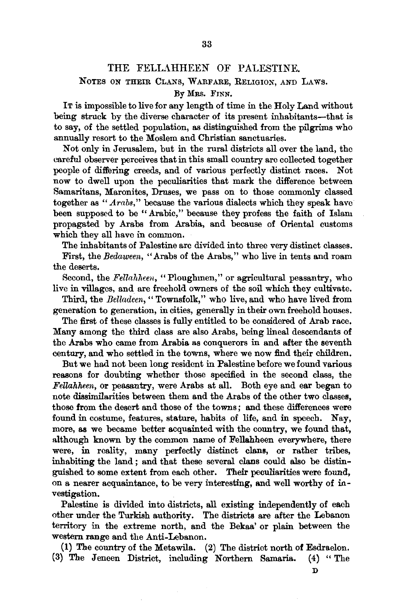## THE FELLAHHEEN OF PALESTINE.

## NOTES ON THEIR CLANS, WARFARE, RELIGION, AND LAWS. :By MRS. FINN.

IT is impossible to live for any length of time in the Holy Land without being struck by the diverse character of its present inhabitants-that is to say, of the settled population, as distinguished from the pilgrims who annually resort to the Moslem and Christian sanctuaries.

Not only in Jerusalem, but in the rural districts all over the land, the careful observer perceives that in this small country are collected together people of differing creeds, and of various perfectly distinct races. Not now to dwell upon the peculiarities that mark the difference between Samaritans, Maronites, Druses, we pass on to those commonly classed together as *"Arabs,"* because the various dialects which they speak have been supposed to be "Arabic," because they profess the faith of Islam propagated by Arabs from Arabia, and because of Oriental customs which they all have in common.

The inhabitants of Palestine arc divided into three very distinct classes.

First, the *Bedaween,* "Arabs of the Arabs," who live in tents and roam the deserts.

Second, the *Fellahheen*, "Ploughmen," or agricultural peasantry, who live in villages, and are freehold owners of the soil which they cultivate.

Third, the *Belladeen,* " Townsfolk," who live, and who have lived from generation to generation, in cities, generally in their own freehold houses.

The first of these classes is fully entitled to be considered of Arab race. Many among the third class are also Arabs, being lineal descendants of the Arabs who came from Arabia as conquerors in and after the seventh century, and who settled in the towns, where we now find their children.

But we had not been long resident in Palestine before we found various reasons for doubting whether those specified in the second class, the *Fellahheen,* or peasantry, were Arabs at all. Both eye and ear began to note dissimilarities between them and the Arabs of the other two classes, those from the desert and those of the towns ; and these differences were found in costume, features, stature, habits of life, and in speech. Nay, more, as we became better acquainted with the country, we found that, although known by the common name of Fellahheen everywhere, there were, in reality, many perfectly distinct clans, or rather tribes, inhabiting the land ; and that these several clans could also be distinguished to some extent from each other. Their peculiarities were found, on a nearer acquaintance, to be very interesting, and well worthy of investigation.

Palestine is divided into districts, all existing independently of each other under the Turkish authority. The districts are after the Lebanon territory in the extreme north, and the Bekaa' or plain between the western range and the Anti-Lebanon.

(1) The country of the Metawila. (2) The district north of Esdraelon. (3) The Jeneen District, including Northern Samaria. (4) "The

D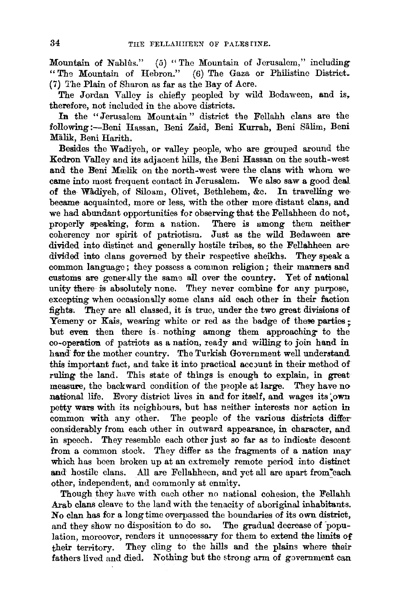Mountain of Nablus." (5) "The Mountain of Jerusalem," including "Th9 Mountain of Hebron." (6) The Gaza or Philistine District. (7) 'I'he Plain of Sharon as far as the Bay of Acre.

The Jordan Valley is chiefly peopled by wild Bedaween, and is, therefore, not included in the above districts.

In the "Jerusalem Mountain" district the Fellahh clans are the following :--Beni Hassan, Beni Zaid, Beni Kurrah, Beni Sälim, Beni Malik, Beni Harith.

Besides the Wadiyeh, or valley people, who are grouped around the Kedron Valley and its adjacent hills, the Beni Hassan on the south-west and the Beni Moelik on the north-west were the clans with whom wecame into most frequent contact in Jerusalem. We also saw a good deal of the Wadiyeh, of Siloam, Olivet, Bethlehem, &c. In travelling webecame acquainted, more or less, with the other more distant clans, and we had abundant opportunities for observing that the Fellahheen do not, properly speaking, form a nation. There is umong them neither coherency nor spirit of patriotism. Just as the wild Bedaween aredivided into distinct and generally hostile tribes, so the Fellahheen are divided into elans governed by their respective sheikhs. They speak a common language ; they possess a common religion; their manners and customs are generally the same all over the country. Yet of national unity there is absolutely none. They never combine for any purpose, excepting when occasionally some clans aid each other in their faction fights; They are all classed, it is true, under the two great divisions of Yemeny or Kais, wearing white or red as the badge of these parties; but even then there is. nothing among them approaching- to the co-operation of patriots as a nation, ready and willing to join hand in hand for the mother country. The Turkish Government well understand this important fact, and take it into practical account in their method of ruling the land. This state of things is enough to explain, in great measure, the backward condition of the people at large. They have no national life. Every district lives in and for itself, and wages its own petty wars with its neighbours, but has neither interests nor action in common with any other. The people of the various districts differ considerably from each other in outward appearance, in character, and in speech. They resemble each other just so far as to indicate descent from a common stock. They differ as the fragments of a nation may which has been broken up at an extremely remote period into distinct and hostile clans. All are Fellahheen, and yet all are apart from each other, independent, and commonly at enmity.

Though they have with each other no national cohesion, the Fellahh Arab clans cleave to the land with the tenacity of aboriginal inhabitants. No clan has for a long time overpassed the boundaries of its own district, and they show no disposition to do so. The gradual decrease of "population, moreover, renders it unnecessary for them to extend the limits of their territory. They cling to the hills and the plains where their fathers lived and died. Nothing but the strong arm of government can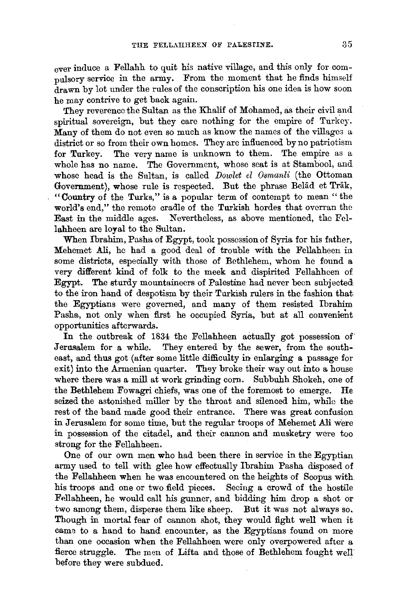ever induce a Fellahh to quit his native village, and this only for compulsory service in the army. From the moment that he finds himself drawn by lot under the rules of the conscription his one idea is how soon he may contrive to get back again.

They reverence the Sultan as the Khalif of Mohamed, as their civil and spiritual sovereign, but they care nothing for the empire of Turkey. Many of them do not even so much as know the names of the villages a district or so from their own homes. They are influenced by no patriotism for Turkey. The very name is unknown to them. The empire as a whole has no name. The Government, whose seat is at Stambool, and whose head is the Sultan, is called *Dowlet el Osmanli* (the Ottoman Government), whose rule is respected. But the phrase Belad et Trak, "Country of the Turks," is a popular term of contempt to mean " the world's end," the remote cradle of the Turkish hordes that overran the East in the middle ages. Nevertheless, as above mentioned, the Fcllahheen are loyal to the Sultan.

When Ibrahim, Pasha of Egypt, took possession of Syria for his father, Mehemet Ali, he had a good deal of trouble with the Fellahhoen in some districts, especially with those of Bethlehem, whom he found a very different kind of folk to the meek and dispirited Fellahheen of Egypt. The sturdy mountaineers of Palestine had never been subjected to the iron hand of despotism by their Turkish rulers in the fashion that the Egyptians were governed, and many of them resisted lbrahim Pasha, not only when first he occupied Syria, but at all convenient opportunities afterwards.

In the outbreak of 1834 the Fellahheen actually got possession of Jerusalem for a while. They entered by the sewer, from the southeast, and thus got (after some little difficulty in enlarging a passage for exit) into the Armenian quarter. They broke their way out into a house where there was a mill at work grinding corn. Subbuhh Shokeh, one of the Bethlehem Fowagri chiefs, was one of the foremost to emerge. He seized the astonished miller by the throat and silenced him, while the rest of the band made good their entrance. There was great confusion in Jerusalem for some time, but the regular troops of Mehemet Ali were in possession of the citadel, and their cannon and musketry were too strong for the Fellahheen.

One of our own men who had been there in service in the Egyptian army used to tell with glee how effectually Ibrahim Pasha disposed of the Fellahheen when he was encountered on the heights of Scopus with his troops and one or two field pieces. Seeing a crowd of the hostile Fellahheen, he would call his gunner, and bidding him drop a shot or two among them, disperse them like sheep. But it was not always so. Though in mortal fear of cannon shot, they would fight well when it came to a hand to hand encounter, as the Egyptians found on more than one occasion when the Fellahheen were only overpowered after a fierce struggle. The men of Lifta and those of Bethlehem fought well before they were subdued.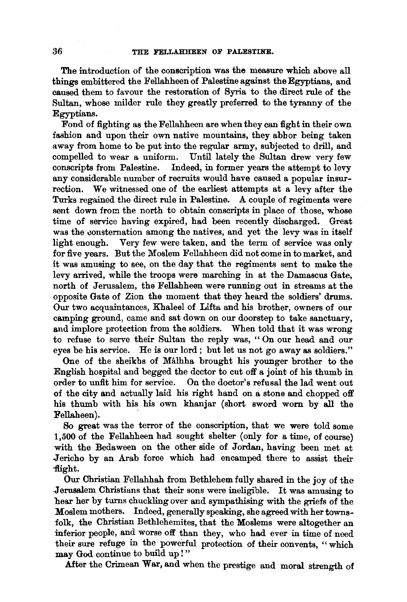The introduction of the conscription was the measure which above all things embittered the Fellahheen of Palestine against the Egyptians, and caused them to favour the restoration of Syria to the direct rule of the Sultan, whose milder rule they greatly preferred to the tyranny of the Egyptians.

Fond of fighting as the Fellahheen are when they can fight in their own fashion and upon their own native mountains, they abhor being taken away from home to be put into the regular army, subjected to drill, and compelled to wear a uniform. Until lately the Sultan drew very few conscripts from Palestine. Indeed, in former years the attempt to levy any considerable number of recruits would have caused a popular insurrection. We witnessed one of the earliest attempts at a levy after the Turks regained the direct rule in Palestine. A couple of regiments were sent down from the north to obtain conscripts in place of those, whose time of service having expired, had been recently discharged. Great was the consternation among the natives, and yet the levy was in itself light enough. Very few were taken, and the term of service was only for five years. But the Moslem Fellahheen did not come in to market, and it was amusing to see, on the day that the regiments sent to make the levy arrived, while the troops were marching in at the Damascus Gate, north of Jerusalem, the Fellahheen were running out in streams at the opposite Gate of Zion the moment that they heard the soldiers' drums. Our two acquaintances, Khaleel of Lifta and his brother, owners of our camping ground, came and sat down on our doorstep to take sanctuary, and implore protection from the soldiers. When told that it was wrong to refuse to serve their Sultan the reply was, '' On our head and our eyes be his service. He is our lord; but let us not go away as soldiers."

One of the sheikhs of Malhha brought his younger brother to the English hospital and begged the dcctor to cut off a joint of his thumb in order to unfit him for service. On the doctor's refusal the lad went out of the city and actually laid his right hand on a stone and chopped off his thumb with his his own khanjar (short sword worn by all the Fellaheen).

So great was the terror of the conscription, that we were told some 1,500 of the Fellahheen had sought shelter (only for a time, of course) with the Bedaween on the other side of Jordan, having been met at Jericho by an Arab force which had encamped there to assist their -flight.

Our Christian Fellahhah from Bethlehem fully shared in the joy of the .Jerusalem Christians that their sons were ineligible. It was amusing to hear her by turns chuckling over and sympathising with the griefs of the Moslem mothers. Indeed, generally speaking, she agreed with her townsfolk, the Christian Bethlehemites, that the Moslems were altogether an inferior people, and worse off than they, who had ever in time of need their sure refuge in the powerful protection of their convents, "which may God continue to build up!"

After the Crimean War, and when the prestige and moral strength of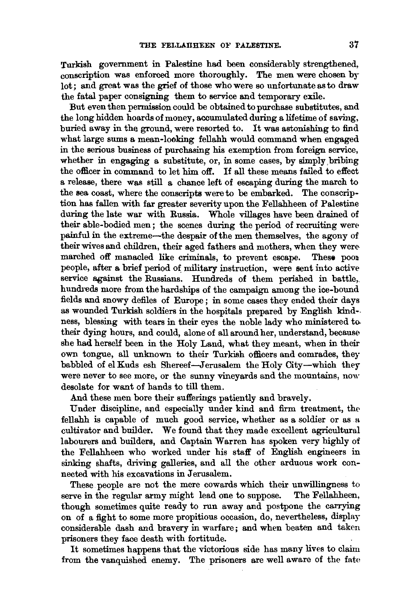Turkish government in Palestine had been considerably strengthened, conscription was enforced more thoroughly. The men were chosen by lot; and great was the grief of those who were so unfortunate as to draw the fatal paper consigning them to service and temporary exile.

But even then permission could be obtained to purchase substitutes, and the long hidden hoards of money, accumulated during a lifetime of saving, buried away in the ground, were resorted to. It was astonishing to find what large sums a mean-looking fellahh would command when engaged in the serious business of purchasing his exemption from foreign service, whether in engaging a substitute, or, in some cases, by simply bribing the officer in command to let him off. If all these means failed to effect a release, there was still a chance left of escaping during the march to the sea coast, where the conscripts were to be embarked. The conscription has fallen with far greater severity upon the Fellahheen of Palestine during the late war with Russia. Whole villages have been drained of their able-bodied men; the scenes during the period of recruiting were painful in the extreme-the despair of the men themselves, the agony of their wives and children, their aged fathers and mothers, when they were-<br>marched off manacled like criminals, to prevent escape. These poormarched off manacled like criminals, to prevent escape. people, after a brief period of military instruction, were sent into active service against the Russians. Hundreds of them perished in battle, hundreds more from the hardships of the campaign among the ice-bound fields and snowy defiles of Europe ; in some cases they ended their days as wounded Turkish soldiers in the hospitals prepared by English kind- ness, blessing with tears in their eyes the noble lady who ministered to their dying hours, and could, alone of all around her, understand, because she had herself been in the Holy Land, what they meant, when in their own tongue, all unknown to their Turkish officers and comrades, they babbled of el Kuds esh Shereef-Jerusalem the Holy City-which they were never to see more, or the sunny vineyards and the mountains, now desolate for want of hands to till them.

And these men bore their sufferings patiently and bravely.

Under discipline, and especially under kind and firm treatment, the fellahh is capable of much good service, whether as a soldier or as a cultivator and builder. We found that they made excellent agricultural labourers and builders, and Captain Warren has spoken very highly of the Fellahheen who worked under his staff of English engineers in sinking shafts, driving galleries, and all the other arduous work connected with his excavations in Jerusalem.

These people are not the mere cowards which their unwillingness to ree in the regular army might lead one to suppose. The Fellahheen, serve in the regular army might lead one to suppose. though sometimes quite ready to run away and postpone the carrying on of a fight to some more propitious occasion, do, nevertheless, display considerable dash and bravery in warfare; and when beaten and taken prisoners they face death with fortitude.

It sometimes happens that the victorious side has many lives to claim from the vanquished enemy. The prisoners are well aware of the fate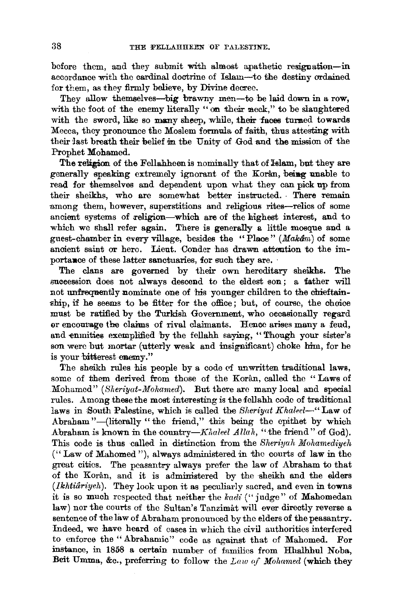before them, and they submit with almost apathetic resignation-in accordance with the cardinal doctrine of Islam-to the destiny ordained for them, as they firmly believe, by Divine decree.

They allow themselves--big brawny men-to be laid down in a row, with the foot of the enemy literally "on their neck," to be slaughtered with the sword, like so many sheep, while, their faces turned towards Mecca, they pronounce the Moslem formula of faith, thus attesting with their Jast breath their belief m the Unity of God and the mission of the Prophet Mohamed.

The religion of the Fellahheen is nominally that of Islam, but they are generally speaking extremely ignorant of the Koran, being unable to read for themselves and dependent upon what they can pick up from their sheikhs, who are somewhat better instructed. There remain among them, however, superstitions and religious rites-relics of some ancient systems of religion-which are of the highest interest, and to which we shall refer again. There is generally a little mosque and a guest-chamber in every village, besides the "Place" *(Makdm)* of some ancient saint or hero. Lieut. Conder has drawn attention to the importance of these latter sanctuaries, for such they are.

The clans are governed by their own hereditary sheikhs. The succession does not always descend to the eldest son ; a father will not unfrequently nominate one of his younger children to the chieftainship, if he seems to be fitter for the office; but, of course, the choice must be ratified by the Turkish Government, who occasionally regard or encourage the claims of rival claimants. Hence arises many a feud, and enmities exemplified by the fellahh saying, "Though your sister's son were but mortar (utterly weak and insignificant) choke him, for he is your bitterest enemy."

The sheikh rules his people by a code of unwritten traditional laws, some of them derived from those of the Koran, called the "Laws of Mohamed" *(Sheriyat-Mohamed).* But there are many local and special rules. Among these the most interesting is the fellahh code of traditional laws in South Palestine, which is called the *Sheriyat Khaleel*-" Law of Abraham"--(literally "the friend," this being the epithet by which Abraham is known in the country-Khaleel Allah, "the friend" of God). This code is thus called in distinction from the *Sheriyah Mohamediyeh* ("Law of Mahomed "), always administered in the courts of law in the great cities. The peasantry always prefer the law of Abraham to that of the Koran, and it is administered by the sheikh and the elders *(Ikhtiariyeh).* They look upon it as peculiarly sacred, and even in towns it is so much respected that neither the *kadi* ("judge" of Mahomedan law) nor the courts of the Sultan's Tanzimat will ever directly reverse a sentence of the law of Abraham pronounced by the elders of the peasantry. Indeed, we have heard of cases in which the civil authorities interfered to enforce the " Abrahamic" code as against that of Mahomed. For instance, in 1858 a certain number of families from Hhalhhul Noba, Beit Umma, &c., preferring to follow the *Law of Mohamed* (which they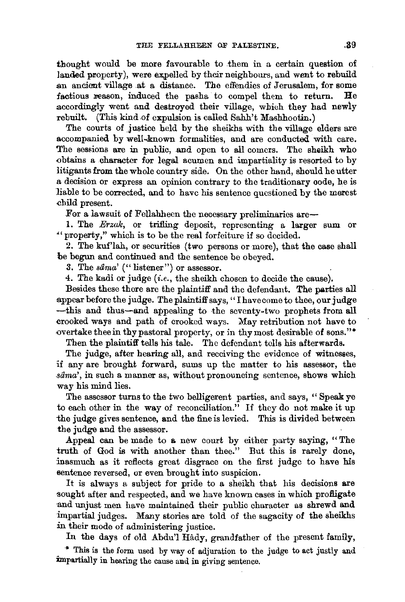thought would be more favourable to them in a certain question of landed property), were expelled by their neighbours, and went to rebuild an ancient village at a distance. The effendies of Jerusalem, for some factious reason, induced the pasha to compel them to return. He factious reason, induced the pasha to compel them to return. accordingly went and destroyed their village, which they had newiy rebuilt. (This kind of expulsion is called Sahh't Mashhootin.)

The courts of justice held by the sheikhs with the village elders are accompanied by well-known formalities, and are conducted with care. The sessions are in public, and open to all comers. The sheikh who obtains a character for legal acumen and impartiality is resorted to by litigants from the whole country side. On the other hand, should he utter a decision or express an opinion contrary to the traditionary code, he is liable to be corrected, and to have his sentence questioned by the merest child present.

For a lawsuit of Fellahheen the necessary preliminaries are-

1. The *Erzak,* or trifling deposit, representing a larger sum or "'property," which is to be the real forfeiture if so decided.

2. The kuf'lah, or securities (two persons or more), that the case shall be begun and continued and the sentence be obeyed.

3. The *sama'* ("listener") or assessor.

4. The kadi or judge (i.e., the sheikh chosen to decide the cause).

Besides these there are the plaintiff and the defendant. The parties all 3-ppear before the judge. The plaintiff says, ''I have come to thee, our judge -this and thus-and appealing to the seventy-two prophets from all crooked ways and path of crooked ways. May retribution not have to overtake thee in thy pastoral property, or in thy most desirable of sons."\*

Then the plaintiff tells his tale. The defendant tells his afterwards.

The judge, after hearing all, and receiving the evidence of witnesses, if any are brought forward, sums up the matter to his assessor, the *.sama',* in such a manner as, without pronouncing sentence, shows which way his mind lies.

The assessor turns to the two belligerent parties, and says, " Speak ye to each other in the way of reconciliation." If they do not make it up the judge gives sentence, and the fine is levied. This is divided between the judge and the assessor.

Appeal can be made to a new court by either party saying, "The truth of God is with another than thee." But this is rarely done, inasmuch as it reflects great disgrace on the first judge to have his sentence reversed, or even brought into suspicion.

It is always a subject for pride to a sheikh that his decisions are sought after and respected, and we have known cases in which profligate and unjust men have maintained their public character as shrewd and impartial judges. Many stories are told of the sagacity of the sheikhs in their mode of administering justice.

In the days of old Abdu'l Hady, grandfather of the present family,

\* This is the form used by way of adjuration to the judge to act justly and impartially in hearing the cause and in giving sentence.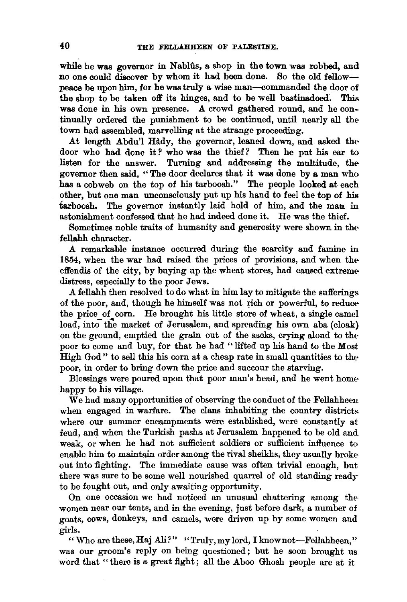while he was governor in Nablûs, a shop in the town was robbed, and no one could discover by whom it had been done. So the old fellowpeace be upon him, for he was truly a wise man-commanded the door of the shop to be taken off its hinges, and to be well bastinadoed. This was done in his own presence. A crowd gathered round, and he continually ordered the punishment to be continued, until nearly all thetown had assembled, marvelling at the strange proceeding.

At length Abdu'l Hady, the governor, leaned down, and asked thedoor who had done it? who was the thief? Then he put his ear to listen for the answer. Turning and addressing the multitude, thegovernor then said, " The door declares that it was done by a man who has a cobweb on the top of his tarboosh." The people looked at each other, but one man unconsciously put up his hand to feel the top of his tarboosh. The governor instantly laid hold of him, and the man in astonishment confessed that he had indeed done it. He was the thief.

Sometimes noble traits of humanity and generosity were shown in thefellahh character.

A remarkable instance occurred during the scarcity and famine in 1854, when the war had raised the prices of provisions, and when theeffendis of the city, by buying up the wheat stores, had caused extremedistress, especially to the poor Jews.

A fellahh then resolved to do what in him lay to mitigate the sufferings of the poor, and, though he himself was not rich or powerful, to reducethe price of corn. He brought his little store of wheat, a single camel load, into the market of Jerusalem, and spreading his own aba (cloak) on the ground, emptied the grain out of the sacks, crying aloud to thepoor to come and buy, for that he had "lifted up his hand to the *Most*  High God" to sell this his corn at a cheap rate in small quantities to thepoor, in order to bring down the price and succour the starving.

Blessings were poured upon that poor man's head, and he went home happy to his village.

We had many opportunities of observing the conduct of the Fellahheen when engaged in warfare. The clans inhabiting the country districts where our summer encampments were established, were constantly at feud, and when the Turkish pasha at Jerusalem happened to be old and weak, or when he had not sufficient soldiers or sufficient influence to enable him to maintain order among the rival sheikhs, they usually broke out into fighting. The immediate cause was often trivial enough, but there was sure to be some well nourished quarrel of old standing ready to be fought out, and only awaiting opportunity.

On one occasion we had noticed an unusual chattering among thewomen near our tents, and in the evening, just before dark, a number of goats, cows, donkeys, and camels, were driven up by some women and girls.

" Who are these, Haj Ali?" "Truly, my lord, I knownot-Fellahheen," was our groom's reply on being questioned; but he soon brought us word that "there is a great fight; all the Aboo Ghosh people are at it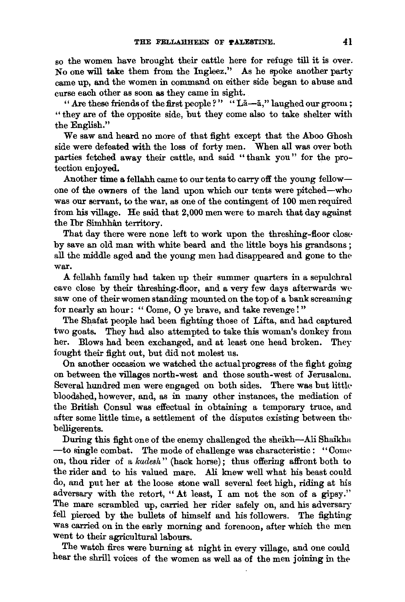so the women have brought their cattle here for refuge till it is over. No one will take them from the Ingleez." As he spoke another party came up, and the women in command on either side began to abuse and curse each other as soon as they came in sight.

" Are these friends of the first people?" "La-a," laughed our groom; " they are of the opposite side, but they come also to take shelter with the English."

We saw and heard no more of that fight except that the Aboo Ghosh side were defeated with the loss of forty men. When all was over both parties fetched away their cattle, and said "thank you" for the protection enjoyed.

Another time a fellahh came to our tents to carry off the young fellowone of the owners of the land upon which our tents were pitched-who was our servant, to the war, as one of the contingent of 100 men required from his village. He said that 2,000 men were to march that day against the lbr Simhhan territory.

That day there were none left to work upon the threshing-floor closeby save an old man with white beard and the little boys his grandsons ; all the middle aged and the young men had disappeared and gone to the war.

A fellahh family had taken up their summer quarters in a sepulchral cave close by their threshing-floor, and a very few days afterwards we saw one of their women standing mounted on the top of a bank screaming for nearly an hour: "Come, O ye brave, and take revenge!"

The Shafat people had been fighting those of Lifta, and had captured two goats. They had also attempted to take this woman's donkey from her. Blows had been exchanged, and at least one head broken. They fought their fight out, but did not molest us.

On another occasion we watched the actual progress of the fight going on between the villages north-west and those south-west of Jerusalem. Several hundred men were engaged on both sides. There was but littlebloodshed, however, and, as in many other instances, the mediation of the British Consul was effectual in obtaining a temporary truce, and after some little time, a settlement of the disputes existing between the belligerents.

During this fight one of the enemy challenged the shcikh-Ali Shaikhu  $\rightarrow$  to single combat. The mode of challenge was characteristic ; "Come on, thou rider of a *kadesh"* (hack horse); thus offering affront both to the rider and to his valued mare. Ali knew well what his beast could do, and put her at the loose stone wall several feet high, riding at his adversary with the retort, "At least, I am not the son of a gipsy." The mare scrambled up, carried her rider safely on, and his adversary fell pierced by the bullets of himself and his followers. The fighting was carried on in the early morning and forenoon, after which the men went to their agricultural labours.

The watch fires were burning at night in every village, and one could hear the shrill voices of the women as well as of the men joining in the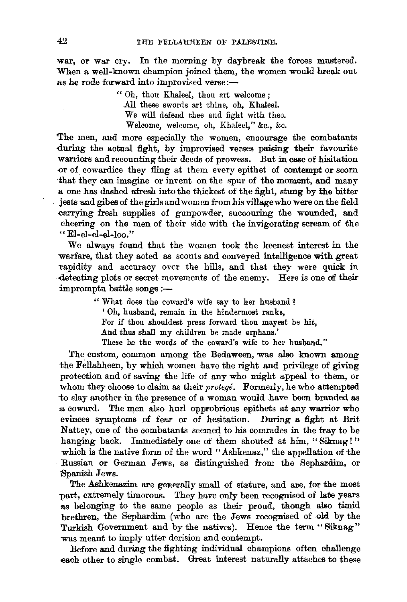war, or war cry. In the morning by daybreak the forces mustered. When a well-known champion joined them, the women would break out as he rode forward into improvised verse:-

> " Oh, thou Khaleel, thou art welcome ; All these swords art thine, oh, Khaleel. We will defend thee and fight with thee. Welcome, welcome, oh, Khaleel," &c., &c.

The men, and more especially the women, encourage the combatants during the actual fight, by improvised verses paising their favourite warriors and recounting their deeds of prowess. But in case of hisitation or of cowardice they fling at them every epithet of contempt or scorn that they can imagine or invent on the spur of the moment, and many a one has dashed afresh into the thickest of the fight, stung by the bitter . jests and gibes of the girls and women from his village who were on the field carrying fresh supplies of gunpowder, succouring the wounded, and cheering on the men of their side with the invigorating scream of the "El-el-el-el-loo."

We always found that the women took the keenest interest in the warfare, that they acted as scouts and conveyed intelligence with great rapidity and accuracy over the hills, and that they were quick in -detecting plots or secret movements of the enemy. Here is one of their  $impromptu$  battle songs :-

> "What does the coward's wife say to her husband? ' Oh, husband, remain in the hindermost ranks, For if thou shouldest press forward thou mayest be hit, And thus shall my children be made orphans.' These be the words of the coward's wife to her husband."

The custom, common among the Bedaween, was also known among the Fellahheen, by which women have the right and privilege of giving protection and of saving the life of any who might appeal to them, or whom they choose to claim as their *protege*. Formerly, he who attempted to slay another in the presence of a woman would have been branded as .a coward. The men also hurl opprobrious epithets at any warrior who evinces symptoms of fear or of hesitation. During a fight at Brit Nattey, one of the combatants seemed to his comrades in the fray to be hanging back. Immediately one of them shouted at him, "Siknag!" which is the native form of the word "Ashkenaz," the appellation of the Russian or German Jews, as distinguished from the Sephardim, or Spanish Jews.

The Ashkenazim are generally small of stature, and are, for the most part, extremely timorous. They have only been recognised of late years as belonging to the same people as their proud, though also timid brethren, the Sephardim (who are the Jews recognised of old by the Turkish Government and by the natives). Hence the term "Siknag" was meant to imply utter derision and contempt.

Before and during the fighting individual champions often challenge each other to single combat. Great interest naturally attaches to these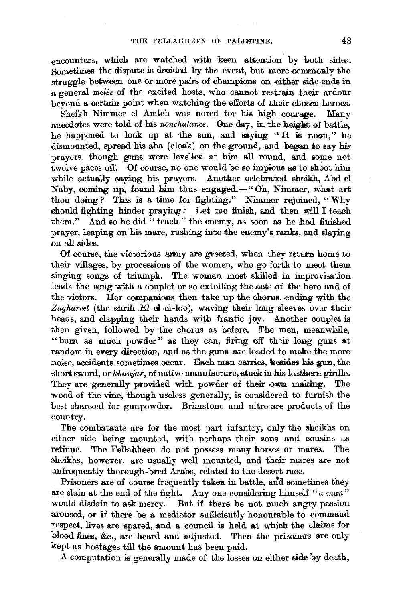encounters, which are watched with keen attention. by both sides. Sometimes the dispute is decided by the event, but more commonly the struggle between one or more pairs of champions on -either side ends in a general melée of the excited hosts, who cannot rest. ain their ardour beyond a certain point when watching the efforts of .their chosen heroes.

Sheikh Nimmer cl Amleh was noted for his high courage. Many anecdotes were told of his *nonchalance*. One day, in the height of battle, he happened to look up at the sun, and saying "It is noon," he  $dismounted$ , spread his aba (cloak) on the ground, and began to say his prayers, though guns were levelled at him all round, and some not twelve paces off. Of course, no one would be so impious as to shoot him while actually saying his prayers. Another celebrated sheikh, Abd el Naby, coming np, found him thus engaged.-" Oh, Nimmer, what art thou doing? This is a time for fighting." Nimmer rejoined, "Why should fighting hinder praying *?* Let me finish, and then will I teach them." And so he did " teach" the enemy, as soon as he had finished prayer, leaping on his mare, rushing into the enemy's ranks, and slaving on all sides.

Of course, the victorious army are greeted, when they return home to their villages, by processions of the women, who go forth to meet them singing songs of triumph. The woman most skilled in improvisation leads the song with a couplet or so extolling the acts of the hero and of the victors. Her companions then take up the chorus, ending with the *.Zughareet* (the shrill.El-el-el-loo), waving their long sleeves over :their heads, and clapping their hands with frantic joy. Another couplet is then given, followed by the chorus as before. The men, meanwhile, "burn as much powder" as they can, firing off their long guns at random in every direction, and as the guns are loaded to make the more noise, accidents sometimes occur. Each man carries, besides his gun, the short sword, or *khanjar*, of native manufacture, stuck in his leathern girdle. They are generally provided with powder of their own making. The wood of the vine, though useless generally, is considered to furnish the best charcoal for gunpowder. Brimstone and nitre are products of the country.

The combatants are for the most part infantry, only the sheikhs on either side being mounted, with perhaps their sons and cousins as retinue. The Fellahheen do not possess many horses or mares. The sheikhs, however, are usually well mounted, and their mares are not unfrequently thorough-bred Arabs, related to the desert race.

Prisoners are of course frequently taken in battle, and sometimes they are slain at the end of the fight. Any one considering himself "a man" would disdain to ask mercy. But if there be not much angry passion aroused, or if there be a mediator sufficiently honourable to command respect, lives are spared, and a council is held at which the claims for blood fines, &c., are heard and adjusted. Then the prisoners are only kept as hostages till the amount has been paid.

A computation is generally made of the losses on either side by death,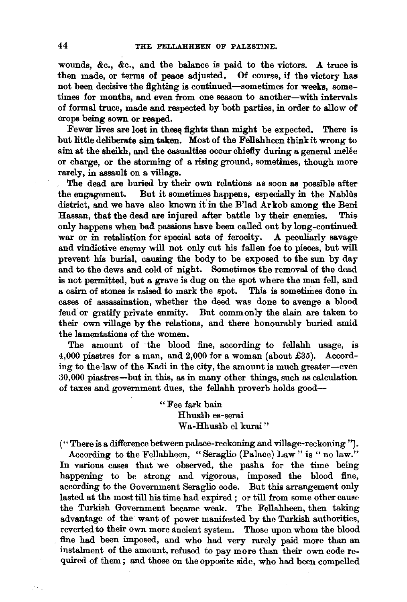wounds, &c., &c., and the balance is paid to the victors. A truce is then made, or terms of peace adjusted. Of course, if the victory has not been decisive the fighting is continued-sometimes for weeks, sometimes for months, and even from one season to another-with intervals of formal truce, made and respected by both parties, in order to allow of crops being sown or reaped.

Fewer lives are lost in these fights than might be expected. There is but little deliberate aim taken. Most of the Fellahheen think it wrong to aim at the sheikh, and the casualties occur chiefly during a general melee or charge, or the storming of a rising ground, sometimes, though more rarely, in assault on a village.

The dead are buried by their own relations as soon as possible after the engagement. But it sometimes happens, especially in the Nablus district, and we have also known it in the B'lad Ar kob among the Beni Hassan, that the dead are injured after battle by their enemies. This only happens when bad passions have been called out by long-continued war or in retaliation for special acts of ferocity. A peculiarly savage and vindictive enemy will not only cut his fallen foe to pieces, but will prevent his burial, causing the body to be exposed to the sun by day and to the dews and cold of night. Sometimes the removal of the dead is not permitted, but a grave is dug on the spot where the man fell, and a cairn of stones is raised to mark the spot. This is sometimes done in cases of assassination, whether the deed was done to avenge a blood feud or gratify private enmity. But commonly the slain are taken to their own village by the relations, and there honourably buried amid the lamentations of the women.

The amount of ·the blood fine, according to fellahh usage, is 4,000 piastres for a man, and 2,000 for a woman (about £35). According to the law of the Kadi in the city, the amount is much greater-even 30,000 piastres-but in this, as in many other things, such as calculation of taxes and government dues, the fellahh proverb holds good-

> " Fee fark bain Hhusab es-serai Wa-Hhusâb el kurai"

(''There is a difference between palace-reckoning and village-reckoning *').* 

According to the Fellahheen, "Seraglio (Palace) Law" is "no law." In various cases that we observed, the pasha for the time being happening to be strong and vigorous, imposed the blood fine, according to the Government Seraglio code. But this arrangement only lasted at the most till his time had expired ; or till from some other cause the Turkish Government became weak. The Fellahheen, then taking advantage of the want of power manifested by the Turkish authorities, reverted to their own more ancient system. Those upon whom the blood fine had been imposed, and who had very rarely paid more than an instalment of the amount, refused to pay more than their own code required of them; and those on the opposite side, who had been compelled

in P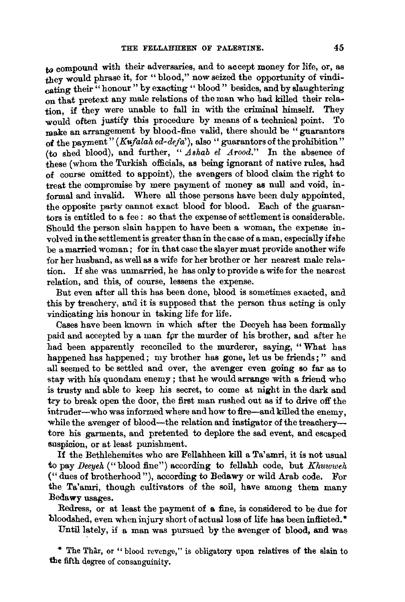to compound with their adversaries, and to accept money for life, or, as they would phrase it, for "blood," now seized the opportunity of vindicating their " honour " by exacting " blood " besides, and by slaughtering on that pretext any male relations of the man who had killed their relation, if they were unable to fall in with the criminal himself. They would often justify this procedure by means of a technical point. To would often justify this procedure by means of a technical point. make an arrangement by blood-fine valid, there should be "guarantors" of the payment"  $(Kufalah ed-defa)$ , also "guarantors of the prohibition" (to shed blood), and further, " *Ashab el Arood."* In the absence of these (whom the Turkish officials, as being ignorant of native rules, had of course omitted to appoint), the avengers of blood claim the right to treat the compromise by mere payment of money as null and void, informal and invalid. Where all those persons have been duly appointed, the opposite party cannot exact blood for blood. Each of the guarantors is entitled to a fee : so that the expense of settlement is considerable. Should the person slain happen to have been a woman, the expense in $volved$  in the settlement is greater than in the case of a man, especially if the be a married woman; for in that case the slayer must provide another wife for her husband, as well as a wife for her brother or her nearest male relation. If she was unmarried, he has only to provide a wife for the nearest relation, and this, of course, lessens the expense.

But even after all this has been done, blood is sometimes exacted, and this by treachery, and it is supposed that the person thus acting is only vindicating his honour in taking life for life.

Cases have been known in which after the Deeyeh has been formally paid and accepted by a man fpr the murder of his brother, and after he had been apparently reconciled to the murderer, saying, "What has happened has happened; my brother has gone, let us be friends;" and all seemed to be settled and over, the avenger even going so far as to stay with his quondam enemy; that he would arrange with a friend who is trusty and able to keep his secret, to come at night in the dark and try to break open the door, the first man rushed out as if to drive off the intruder-who was informed where and how to fire-and killed the enemy. while the avenger of blood-the relation and instigator of the treacherytore his garments, and pretented to deplore the sad event, and escaped suspicion, or at least punishment.

If the Bethlehemites who are Fellahheen kill a Ta'amri, it is not usual to pay *Deeyeh* ("blood fine") according to fellahh code, but *Khuwweh*  ("dues of brotherhood"), according to Bedawy or wild Arab code. For the Ta'amri, though cultivators of the soil, have among them many Bedawy usages.

Redress, or at least the payment of a fine, is considered to be due for bloodshed, even when injury short of actual loss of life has been inflicted.\*

Until lately, if a man was pursued by the avenger of blood, and was

\* The Thar, or "blood revenge," is obligatory upon relatives of the slain to the fifth degree of consanguinity.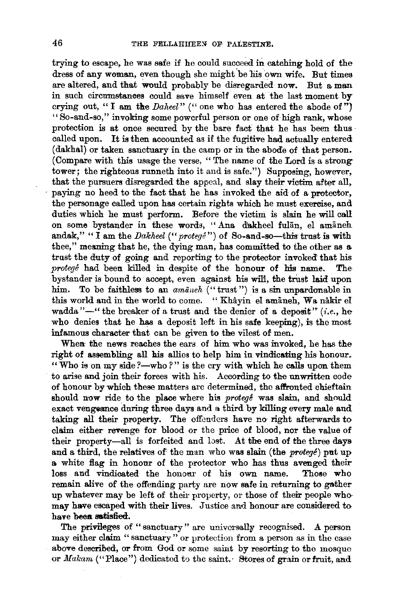trying to escape, he was safe if he could succeed in catching hold of the dress of any woman, even though she might be his own wife. But times are altered, and that would probably be disregarded now. But a man in such circumstances could save himself even at the last moment by crying out, " I am the *Daheel*" (" one who has entered the abode of") "So-and-so," invoking some powerful person or one of high rank, whose protection is at once secured by the bare fact that he has been thus called upan. It is then accounted as if the fugitive had actually entered (dakhal) or taken sanctuary in the camp or in the abode of that person. (Compare with this usage the verse, "The name of the Lord is a strong tower; the righteous runneth into it and is safe.") Supposing, however, that the pursuers disregarded the appeal, and slay their victim after all, · paying no heed to the fact that he has invoked the aid of a protector, the personage called upon has certain rights which he must exercise, and duties which he must perform. Before the victim is slain he will call on some bystander in these words, "Ana dakheel fulan, el amaneh andak," "I am the *Dakheel* ("*protege*") of So-and-so-this trust is with thee," meaning that he, the dying man, has committed to the other as a trust the duty of going and reporting to the protector invoked that his *protege* had been k:illed in despite of the honour of his name. The bystander is bound to accept, even against his wili, the trust laid upon him. To be faithless to an *amaneh* ("trust") is a sin unpardonable in this world and in the world to come. "Khâyin el amāneh, Wa nâkir el wadda "-" the breaker of a trust and the denier of a deposit" *(i.e., he* who denies that he has a deposit left in his safe keeping), is the most infamous character that can be given to the vilest of men.

When: the news reaches the ears of him who was invoked, he has the right of assembling all his allies to help him in vindicating his honour. "Who is on my side ?- who ?" is the cry with which he calls upon them to arise and join their forces with his. According to the unwritten code of honour by which these matters are determined, the affronted chieftain should now ride to the place where his *protege* was slain, and should exact vengeance during three days and a third by killing every male and taking all their property. The offenders have no right afterwards to claim either revenge for blood or the price of blood, nor the value of their property-all is forfeited and lost. At the end of the three days and a third, the relatives of' the man who was slain (the *protege)* put up a white flag in honour of the protector who has thus avenged their loss and vindicated the honoar of his own name. Those who remain alive of the offending party are now safe in returning to gather up whatever may be left of their property, or those of their people who may have escaped with their lives. Justice and honour are considered to have been satisfied.

The privileges of "sanctuary" are universally recognised. A person may either claim " sanctuary " or protection from a person as in the case above described, or from God or some saint by resorting to the mosque or *Makam* ("Place") dedicated to the saint. Stores of grain or fruit, and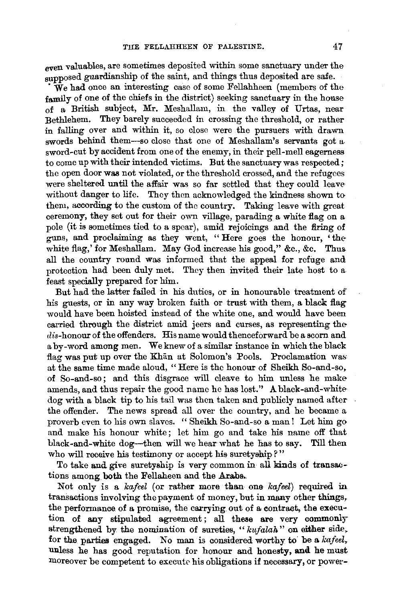even valuables, are sometimes deposited within some sanctuary under the supposed guardianship of the saint, and things thus deposited are safe.

·We had once an interesting case of some Fellahheen (members of the family of one of the chiefs in the district) seeking sanctuary in the house of a British subject, Mr. Meshallam, in the valley of Urtas, near Bethlehem. They barely succeeded in crossing the threshold, or rather in falling over and within it, so close were the pursuers with drawn s-words behind them-so close that one of Meshallam's servants got a. sword-cut by accident from one of the enemy, in their pell-mell eagerness to come up with their intended victims. But the sanctuary was respected; the open door was not violated, or the threshold crossed, and the refugees were sheltered until the affair was so far settled that they could leave without danger to life. They then acknowledged the kindness shown to them, according to the custom of the country. Taking leave with great ceremony, they set out for their own village, parading a white flag on a pole (it is sometimes tied to a spear), amid rejoicings and the firing of guns, and proclaiming as they went, "Here goes the honour, 'the white flag,' for Meshallam. May God increase his good," &c., &c. Thus. all the country round was informed that the appeal for refuge and protection had been duly met. They then invited their late host to a feast specially prepared for him.

But had the latter failed in his duties, or in honourable treatment of his guests, or in any way broken faith or trust with them, a black flag would have been hoisted instead of the white one, and would have been carried through the district amid jeers and curses, as representing the dis-honour of the offenders. His name would thenceforward be a scorn and a by-word among men. We knew of a similar instance in which the black flag was put up over the Khan at Solomon's Pools. Proclamation was at the same time made aloud, " Here is the honour of Sheikh So-and-so, of So-and-so ; and this disgrace 'vill cleave to him unless he make amends, and thus repair the good name he has lost." A black-and-white dog with a black tip to his tail was then taken and publicly named after the offender. The news spread all over the country, and he became a proverb even to his own slaves. " Sheikh So-and-so a man! Let him go and make his honour white; let him go and take his name off that black-and-white dog-then will we hear what he has to say. Till then who will receive his testimony or accept his suretyship?"

To take and give suretyship is very common in all kinds of transactions among both the Fellaheen and the Arabs.

Not only is a *kafeel* (or rather more than one *kafeel)* required in transactions involving the payment of money, but in many other things, the performance of a promise, the carrying out of a contract, the execution of any stipulated agreement; all these are very commonly strengthened by the nomination of sureties, " *kufalah"* on either side, for the parties engaged. No man is considered worthy to be a *kafeel*, unless he has good reputation for honour and honesty, and he must moreover be competent to execute his obligations if necessary, or power